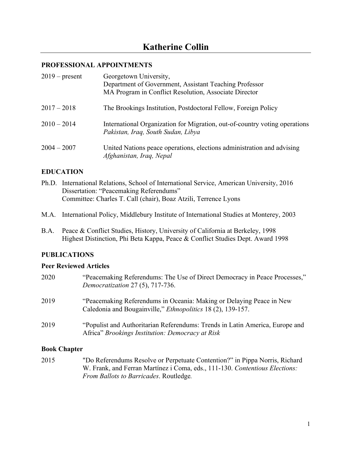#### **PROFESSIONAL APPOINTMENTS**

| $2019$ – present | Georgetown University,<br>Department of Government, Assistant Teaching Professor<br>MA Program in Conflict Resolution, Associate Director |
|------------------|-------------------------------------------------------------------------------------------------------------------------------------------|
| $2017 - 2018$    | The Brookings Institution, Postdoctoral Fellow, Foreign Policy                                                                            |
| $2010 - 2014$    | International Organization for Migration, out-of-country voting operations<br>Pakistan, Iraq, South Sudan, Libya                          |
| $2004 - 2007$    | United Nations peace operations, elections administration and advising<br>Afghanistan, Iraq, Nepal                                        |

#### **EDUCATION**

- Ph.D. International Relations, School of International Service, American University, 2016 Dissertation: "Peacemaking Referendums" Committee: Charles T. Call (chair), Boaz Atzili, Terrence Lyons
- M.A. International Policy, Middlebury Institute of International Studies at Monterey, 2003
- B.A. Peace & Conflict Studies, History, University of California at Berkeley, 1998 Highest Distinction, Phi Beta Kappa, Peace & Conflict Studies Dept. Award 1998

## **PUBLICATIONS**

#### **Peer Reviewed Articles**

| 2020 | "Peacemaking Referendums: The Use of Direct Democracy in Peace Processes,"<br>Democratization 27 (5), 717-736.                             |
|------|--------------------------------------------------------------------------------------------------------------------------------------------|
| 2019 | "Peacemaking Referendums in Oceania: Making or Delaying Peace in New<br>Caledonia and Bougainville," <i>Ethnopolitics</i> 18 (2), 139-157. |
| 2019 | "Populist and Authoritarian Referendums: Trends in Latin America, Europe and<br>Africa" Brookings Institution: Democracy at Risk           |

#### **Book Chapter**

2015 "Do Referendums Resolve or Perpetuate Contention?" in Pippa Norris, Richard W. Frank, and Ferran Martínez i Coma, eds., 111-130. *Contentious Elections: From Ballots to Barricades*. Routledge*.*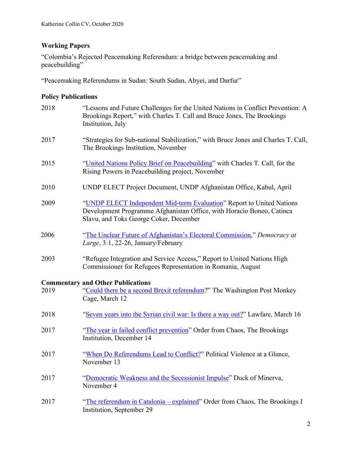# **Working Papers**

"Colombia's Rejected Peacemaking Referendum: a bridge between peacemaking and peacebuilding"

"Peacemaking Referendums in Sudan: South Sudan, Abyei, and Darfur"

# **Policy Publications**

| 2018 | "Lessons and Future Challenges for the United Nations in Conflict Prevention: A<br>Brookings Report," with Charles T. Call and Bruce Jones, The Brookings<br>Institution, July           |
|------|------------------------------------------------------------------------------------------------------------------------------------------------------------------------------------------|
| 2017 | "Strategies for Sub-national Stabilization," with Bruce Jones and Charles T. Call,<br>The Brookings Institution, November                                                                |
| 2015 | "United Nations Policy Brief on Peacebuilding" with Charles T. Call, for the<br>Rising Powers in Peacebuilding project, November                                                         |
| 2010 | UNDP ELECT Project Document, UNDP Afghanistan Office, Kabul, April                                                                                                                       |
| 2009 | "UNDP ELECT Independent Mid-term Evaluation" Report to United Nations<br>Development Programme Afghanistan Office, with Horacio Boneo, Catinca<br>Slavu, and Toks George Coker, December |
| 2006 | "The Unclear Future of Afghanistan's Electoral Commission," Democracy at<br>Large, 3:1, 22-26, January/February                                                                          |
| 2003 | "Refugee Integration and Service Access," Report to United Nations High<br>Commissioner for Refugees Representation in Romania, August                                                   |
| 2019 | <b>Commentary and Other Publications</b><br>"Could there be a second Brexit referendum?" The Washington Post Monkey<br>Cage, March 12                                                    |
| 2018 | "Seven years into the Syrian civil war: Is there a way out?" Lawfare, March 16                                                                                                           |
| 2017 | "The year in failed conflict prevention" Order from Chaos, The Brookings<br>Institution, December 14                                                                                     |
| 2017 | "When Do Referendums Lead to Conflict?" Political Violence at a Glance,<br>November 13                                                                                                   |
| 2017 | "Democratic Weakness and the Secessionist Impulse" Duck of Minerva,<br>November 4                                                                                                        |
| 2017 | "The referendum in Catalonia - explained" Order from Chaos, The Brookings I<br>Institution, September 29                                                                                 |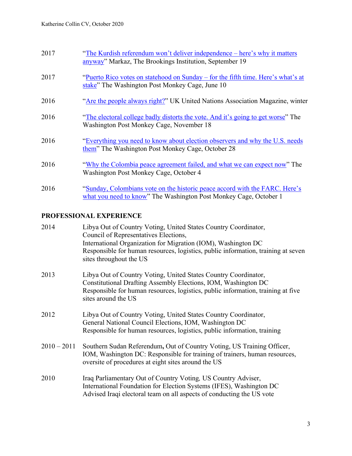| 2017 | "The Kurdish referendum won't deliver independence – here's why it matters<br>anyway" Markaz, The Brookings Institution, September 19            |
|------|--------------------------------------------------------------------------------------------------------------------------------------------------|
| 2017 | "Puerto Rico votes on statehood on Sunday – for the fifth time. Here's what's at<br>stake" The Washington Post Monkey Cage, June 10              |
| 2016 | "Are the people always right?" UK United Nations Association Magazine, winter                                                                    |
| 2016 | "The electoral college badly distorts the vote. And it's going to get worse" The<br>Washington Post Monkey Cage, November 18                     |
| 2016 | "Everything you need to know about election observers and why the U.S. needs<br>them" The Washington Post Monkey Cage, October 28                |
| 2016 | "Why the Colombia peace agreement failed, and what we can expect now" The<br>Washington Post Monkey Cage, October 4                              |
| 2016 | "Sunday, Colombians vote on the historic peace accord with the FARC. Here's<br>what you need to know" The Washington Post Monkey Cage, October 1 |

# **PROFESSIONAL EXPERIENCE**

| 2014          | Libya Out of Country Voting, United States Country Coordinator,<br>Council of Representatives Elections,<br>International Organization for Migration (IOM), Washington DC<br>Responsible for human resources, logistics, public information, training at seven          |
|---------------|-------------------------------------------------------------------------------------------------------------------------------------------------------------------------------------------------------------------------------------------------------------------------|
| 2013          | sites throughout the US<br>Libya Out of Country Voting, United States Country Coordinator,<br>Constitutional Drafting Assembly Elections, IOM, Washington DC<br>Responsible for human resources, logistics, public information, training at five<br>sites around the US |
| 2012          | Libya Out of Country Voting, United States Country Coordinator,<br>General National Council Elections, IOM, Washington DC<br>Responsible for human resources, logistics, public information, training                                                                   |
| $2010 - 2011$ | Southern Sudan Referendum, Out of Country Voting, US Training Officer,<br>IOM, Washington DC: Responsible for training of trainers, human resources,<br>oversite of procedures at eight sites around the US                                                             |
| 2010          | Iraq Parliamentary Out of Country Voting, US Country Adviser,<br>International Foundation for Election Systems (IFES), Washington DC<br>Advised Iraqi electoral team on all aspects of conducting the US vote                                                           |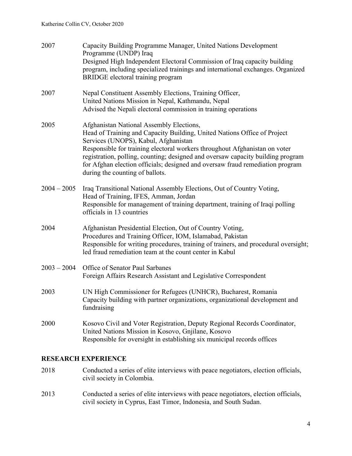| 2007          | Capacity Building Programme Manager, United Nations Development<br>Programme (UNDP) Iraq<br>Designed High Independent Electoral Commission of Iraq capacity building<br>program, including specialized trainings and international exchanges. Organized<br><b>BRIDGE</b> electoral training program                                                                                                                                               |
|---------------|---------------------------------------------------------------------------------------------------------------------------------------------------------------------------------------------------------------------------------------------------------------------------------------------------------------------------------------------------------------------------------------------------------------------------------------------------|
| 2007          | Nepal Constituent Assembly Elections, Training Officer,<br>United Nations Mission in Nepal, Kathmandu, Nepal<br>Advised the Nepali electoral commission in training operations                                                                                                                                                                                                                                                                    |
| 2005          | Afghanistan National Assembly Elections,<br>Head of Training and Capacity Building, United Nations Office of Project<br>Services (UNOPS), Kabul, Afghanistan<br>Responsible for training electoral workers throughout Afghanistan on voter<br>registration, polling, counting; designed and oversaw capacity building program<br>for Afghan election officials; designed and oversaw fraud remediation program<br>during the counting of ballots. |
| $2004 - 2005$ | Iraq Transitional National Assembly Elections, Out of Country Voting,<br>Head of Training, IFES, Amman, Jordan<br>Responsible for management of training department, training of Iraqi polling<br>officials in 13 countries                                                                                                                                                                                                                       |
| 2004          | Afghanistan Presidential Election, Out of Country Voting,<br>Procedures and Training Officer, IOM, Islamabad, Pakistan<br>Responsible for writing procedures, training of trainers, and procedural oversight;<br>led fraud remediation team at the count center in Kabul                                                                                                                                                                          |
| $2003 - 2004$ | Office of Senator Paul Sarbanes<br>Foreign Affairs Research Assistant and Legislative Correspondent                                                                                                                                                                                                                                                                                                                                               |
| 2003          | UN High Commissioner for Refugees (UNHCR), Bucharest, Romania<br>Capacity building with partner organizations, organizational development and<br>fundraising                                                                                                                                                                                                                                                                                      |
| 2000          | Kosovo Civil and Voter Registration, Deputy Regional Records Coordinator,<br>United Nations Mission in Kosovo, Gnjilane, Kosovo<br>Responsible for oversight in establishing six municipal records offices                                                                                                                                                                                                                                        |

## **RESEARCH EXPERIENCE**

- 2018 Conducted a series of elite interviews with peace negotiators, election officials, civil society in Colombia.
- 2013 Conducted a series of elite interviews with peace negotiators, election officials, civil society in Cyprus, East Timor, Indonesia, and South Sudan.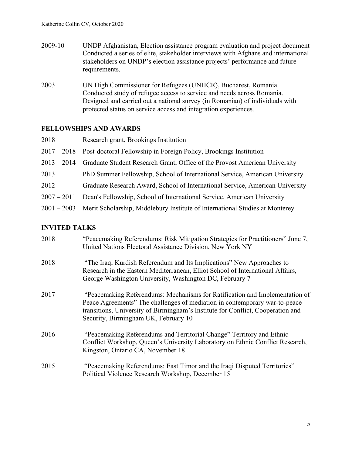- 2009-10 UNDP Afghanistan, Election assistance program evaluation and project document Conducted a series of elite, stakeholder interviews with Afghans and international stakeholders on UNDP's election assistance projects' performance and future requirements.
- 2003 UN High Commissioner for Refugees (UNHCR), Bucharest, Romania Conducted study of refugee access to service and needs across Romania. Designed and carried out a national survey (in Romanian) of individuals with protected status on service access and integration experiences.

### **FELLOWSHIPS AND AWARDS**

| 2018          | Research grant, Brookings Institution                                                    |
|---------------|------------------------------------------------------------------------------------------|
| $2017 - 2018$ | Post-doctoral Fellowship in Foreign Policy, Brookings Institution                        |
| $2013 - 2014$ | Graduate Student Research Grant, Office of the Provost American University               |
| 2013          | PhD Summer Fellowship, School of International Service, American University              |
| 2012          | Graduate Research Award, School of International Service, American University            |
| $2007 - 2011$ | Dean's Fellowship, School of International Service, American University                  |
|               | 2001 – 2003 Merit Scholarship, Middlebury Institute of International Studies at Monterey |

# **INVITED TALKS**

| 2018 | "Peacemaking Referendums: Risk Mitigation Strategies for Practitioners" June 7,<br>United Nations Electoral Assistance Division, New York NY                                                                                                                                         |
|------|--------------------------------------------------------------------------------------------------------------------------------------------------------------------------------------------------------------------------------------------------------------------------------------|
| 2018 | "The Iraqi Kurdish Referendum and Its Implications" New Approaches to<br>Research in the Eastern Mediterranean, Elliot School of International Affairs,<br>George Washington University, Washington DC, February 7                                                                   |
| 2017 | "Peacemaking Referendums: Mechanisms for Ratification and Implementation of<br>Peace Agreements" The challenges of mediation in contemporary war-to-peace<br>transitions, University of Birmingham's Institute for Conflict, Cooperation and<br>Security, Birmingham UK, February 10 |
| 2016 | "Peacemaking Referendums and Territorial Change" Territory and Ethnic<br>Conflict Workshop, Queen's University Laboratory on Ethnic Conflict Research,<br>Kingston, Ontario CA, November 18                                                                                          |
| 2015 | "Peacemaking Referendums: East Timor and the Iraqi Disputed Territories"<br>Political Violence Research Workshop, December 15                                                                                                                                                        |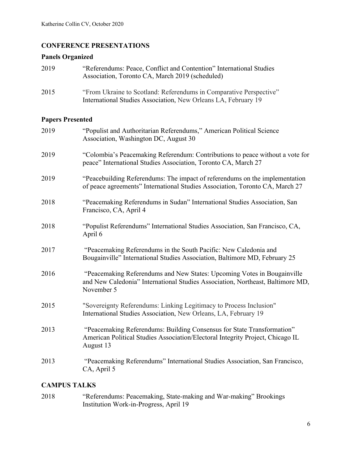# **CONFERENCE PRESENTATIONS**

### **Panels Organized**

| 2019 | "Referendums: Peace, Conflict and Contention" International Studies<br>Association, Toronto CA, March 2019 (scheduled)               |
|------|--------------------------------------------------------------------------------------------------------------------------------------|
| 2015 | "From Ukraine to Scotland: Referendums in Comparative Perspective"<br>International Studies Association, New Orleans LA, February 19 |

# **Papers Presented**

| 2019 | "Populist and Authoritarian Referendums," American Political Science<br>Association, Washington DC, August 30                                                           |
|------|-------------------------------------------------------------------------------------------------------------------------------------------------------------------------|
| 2019 | "Colombia's Peacemaking Referendum: Contributions to peace without a vote for<br>peace" International Studies Association, Toronto CA, March 27                         |
| 2019 | "Peacebuilding Referendums: The impact of referendums on the implementation<br>of peace agreements" International Studies Association, Toronto CA, March 27             |
| 2018 | "Peacemaking Referendums in Sudan" International Studies Association, San<br>Francisco, CA, April 4                                                                     |
| 2018 | "Populist Referendums" International Studies Association, San Francisco, CA,<br>April 6                                                                                 |
| 2017 | "Peacemaking Referendums in the South Pacific: New Caledonia and<br>Bougainville" International Studies Association, Baltimore MD, February 25                          |
| 2016 | "Peacemaking Referendums and New States: Upcoming Votes in Bougainville<br>and New Caledonia" International Studies Association, Northeast, Baltimore MD,<br>November 5 |
| 2015 | "Sovereignty Referendums: Linking Legitimacy to Process Inclusion"<br>International Studies Association, New Orleans, LA, February 19                                   |
| 2013 | "Peacemaking Referendums: Building Consensus for State Transformation"<br>American Political Studies Association/Electoral Integrity Project, Chicago IL<br>August 13   |
| 2013 | "Peacemaking Referendums" International Studies Association, San Francisco,<br>CA, April 5                                                                              |

# **CAMPUS TALKS**

2018 "Referendums: Peacemaking, State-making and War-making" Brookings Institution Work-in-Progress, April 19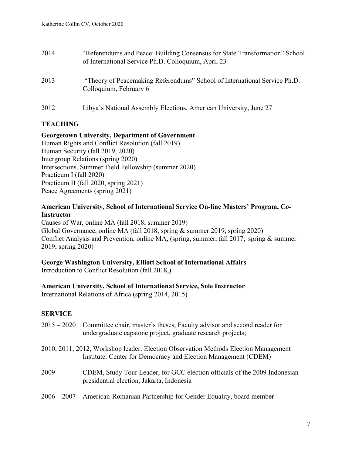| 2014 | "Referendums and Peace: Building Consensus for State Transformation" School<br>of International Service Ph.D. Colloquium, April 23 |
|------|------------------------------------------------------------------------------------------------------------------------------------|
| 2013 | "Theory of Peacemaking Referendums" School of International Service Ph.D.<br>Colloquium, February 6                                |
| 2012 | Libya's National Assembly Elections, American University, June 27                                                                  |

### **TEACHING**

#### **Georgetown University, Department of Government**

Human Rights and Conflict Resolution (fall 2019) Human Security (fall 2019, 2020) Intergroup Relations (spring 2020) Intersections, Summer Field Fellowship (summer 2020) Practicum I (fall 2020) Practicum II (fall 2020, spring 2021) Peace Agreements (spring 2021)

#### **American University, School of International Service On-line Masters' Program, Co-Instructor**

Causes of War, online MA (fall 2018, summer 2019) Global Governance, online MA (fall 2018, spring & summer 2019, spring 2020) Conflict Analysis and Prevention, online MA, (spring, summer, fall 2017; spring & summer 2019, spring 2020)

#### **George Washington University, Elliott School of International Affairs**

Introduction to Conflict Resolution (fall 2018,)

#### **American University, School of International Service, Sole Instructor**

International Relations of Africa (spring 2014, 2015)

#### **SERVICE**

|      | 2015 – 2020 Committee chair, master's theses, Faculty advisor and second reader for<br>undergraduate capstone project, graduate research projects;    |
|------|-------------------------------------------------------------------------------------------------------------------------------------------------------|
|      | 2010, 2011, 2012, Workshop leader: Election Observation Methods Election Management<br>Institute: Center for Democracy and Election Management (CDEM) |
| 2009 | CDEM, Study Tour Leader, for GCC election officials of the 2009 Indonesian<br>presidential election, Jakarta, Indonesia                               |
|      | 2006 – 2007 American-Romanian Partnership for Gender Equality, board member                                                                           |